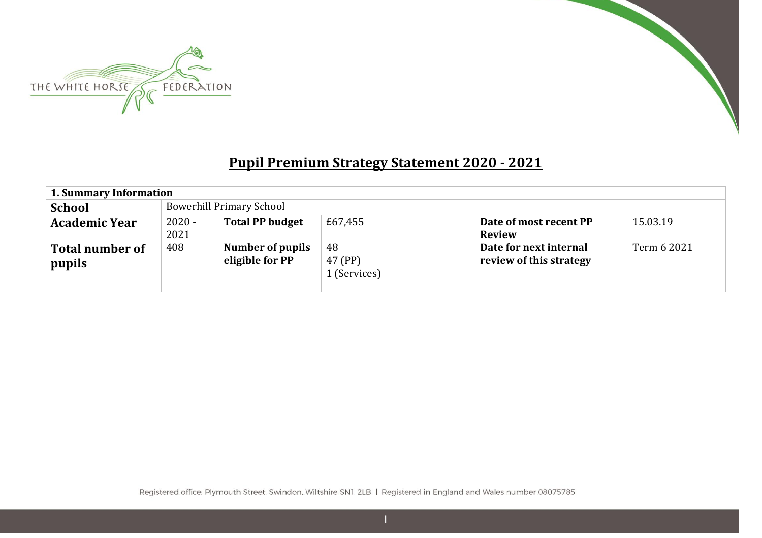



## **Pupil Premium Strategy Statement 2020 - 2021**

| 1. Summary Information           |                  |                                            |                               |                                                   |             |
|----------------------------------|------------------|--------------------------------------------|-------------------------------|---------------------------------------------------|-------------|
| <b>School</b>                    |                  | <b>Bowerhill Primary School</b>            |                               |                                                   |             |
| <b>Academic Year</b>             | $2020 -$<br>2021 | <b>Total PP budget</b>                     | £67,455                       | Date of most recent PP<br><b>Review</b>           | 15.03.19    |
| <b>Total number of</b><br>pupils | 408              | <b>Number of pupils</b><br>eligible for PP | 48<br>47 (PP)<br>1 (Services) | Date for next internal<br>review of this strategy | Term 6 2021 |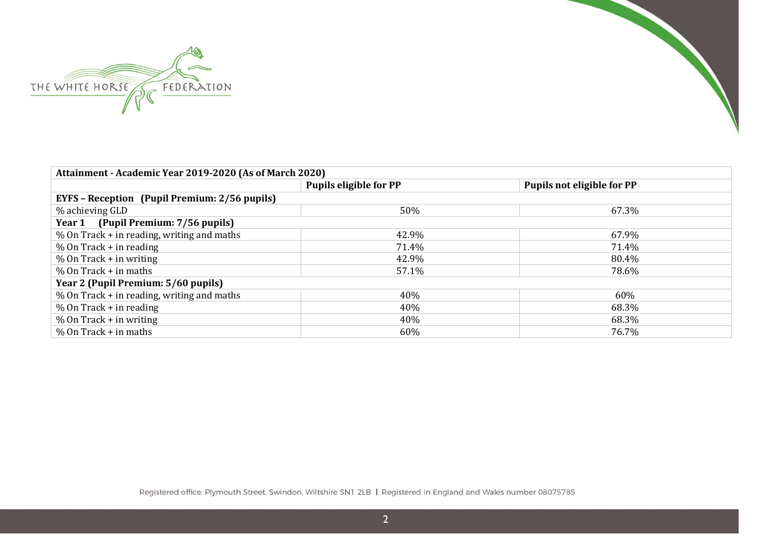



| Attainment - Academic Year 2019-2020 (As of March 2020) |                        |                                   |  |  |  |  |  |  |  |
|---------------------------------------------------------|------------------------|-----------------------------------|--|--|--|--|--|--|--|
|                                                         | Pupils eligible for PP | <b>Pupils not eligible for PP</b> |  |  |  |  |  |  |  |
| <b>EYFS</b> – Reception (Pupil Premium: 2/56 pupils)    |                        |                                   |  |  |  |  |  |  |  |
| % achieving GLD                                         | 50%                    | 67.3%                             |  |  |  |  |  |  |  |
| (Pupil Premium: 7/56 pupils)<br>Year 1                  |                        |                                   |  |  |  |  |  |  |  |
| $%$ On Track + in reading, writing and maths            | 42.9%                  | 67.9%                             |  |  |  |  |  |  |  |
| $%$ On Track + in reading                               | 71.4%                  | 71.4%                             |  |  |  |  |  |  |  |
| $%$ On Track + in writing                               | 42.9%                  | 80.4%                             |  |  |  |  |  |  |  |
| $%$ On Track + in maths                                 | 57.1%                  | 78.6%                             |  |  |  |  |  |  |  |
| Year 2 (Pupil Premium: 5/60 pupils)                     |                        |                                   |  |  |  |  |  |  |  |
| $%$ On Track + in reading, writing and maths            | 40%                    | 60%                               |  |  |  |  |  |  |  |
| $%$ On Track + in reading                               | 40%                    | 68.3%                             |  |  |  |  |  |  |  |
| $%$ On Track + in writing                               | 40%                    | 68.3%                             |  |  |  |  |  |  |  |
| $%$ On Track + in maths                                 | 60%                    | 76.7%                             |  |  |  |  |  |  |  |

Registered office: Plymouth Street, Swindon, Wiltshire SN1 2LB | Registered in England and Wales number 08075785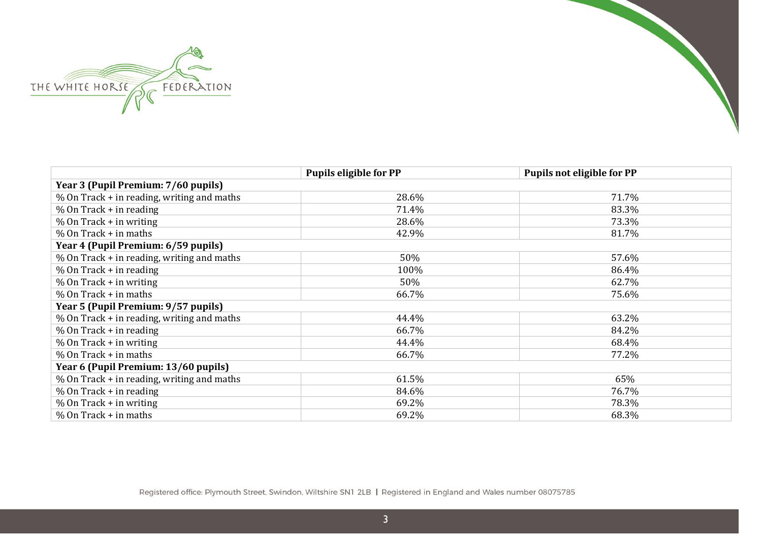



| <b>Pupils eligible for PP</b><br><b>Pupils not eligible for PP</b> |       |       |  |  |  |  |  |
|--------------------------------------------------------------------|-------|-------|--|--|--|--|--|
| Year 3 (Pupil Premium: 7/60 pupils)                                |       |       |  |  |  |  |  |
| % On Track + in reading, writing and maths                         | 28.6% | 71.7% |  |  |  |  |  |
| % On Track + in reading                                            | 71.4% | 83.3% |  |  |  |  |  |
| $%$ On Track + in writing                                          | 28.6% | 73.3% |  |  |  |  |  |
| $%$ On Track + in maths                                            | 42.9% | 81.7% |  |  |  |  |  |
| Year 4 (Pupil Premium: 6/59 pupils)                                |       |       |  |  |  |  |  |
| % On Track + in reading, writing and maths                         | 50%   | 57.6% |  |  |  |  |  |
| % On Track + in reading                                            | 100%  | 86.4% |  |  |  |  |  |
| $%$ On Track + in writing                                          | 50%   | 62.7% |  |  |  |  |  |
| % On Track + in maths                                              | 66.7% | 75.6% |  |  |  |  |  |
| Year 5 (Pupil Premium: 9/57 pupils)                                |       |       |  |  |  |  |  |
| % On Track + in reading, writing and maths                         | 44.4% | 63.2% |  |  |  |  |  |
| % On Track + in reading                                            | 66.7% | 84.2% |  |  |  |  |  |
| $%$ On Track + in writing                                          | 44.4% | 68.4% |  |  |  |  |  |
| $%$ On Track + in maths                                            | 66.7% | 77.2% |  |  |  |  |  |
| Year 6 (Pupil Premium: 13/60 pupils)                               |       |       |  |  |  |  |  |
| % On Track + in reading, writing and maths                         | 61.5% | 65%   |  |  |  |  |  |
| $%$ On Track + in reading                                          | 84.6% | 76.7% |  |  |  |  |  |
| $%$ On Track + in writing                                          | 69.2% | 78.3% |  |  |  |  |  |
| $%$ On Track + in maths                                            | 69.2% | 68.3% |  |  |  |  |  |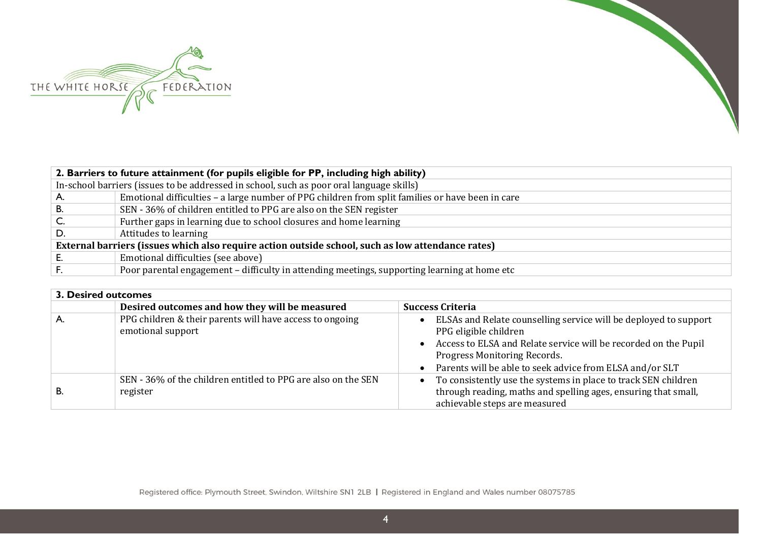



|                                                                                                   | 2. Barriers to future attainment (for pupils eligible for PP, including high ability)            |  |  |
|---------------------------------------------------------------------------------------------------|--------------------------------------------------------------------------------------------------|--|--|
|                                                                                                   | In-school barriers (issues to be addressed in school, such as poor oral language skills)         |  |  |
| A.                                                                                                | Emotional difficulties - a large number of PPG children from split families or have been in care |  |  |
| В.                                                                                                | SEN - 36% of children entitled to PPG are also on the SEN register                               |  |  |
| C.                                                                                                | Further gaps in learning due to school closures and home learning                                |  |  |
| D.                                                                                                | Attitudes to learning                                                                            |  |  |
| External barriers (issues which also require action outside school, such as low attendance rates) |                                                                                                  |  |  |
|                                                                                                   | Emotional difficulties (see above)                                                               |  |  |
|                                                                                                   | Poor parental engagement – difficulty in attending meetings, supporting learning at home etc     |  |  |
|                                                                                                   |                                                                                                  |  |  |

| 3. Desired outcomes |                                                                               |                                                                                                                                                                                                                                                                                      |
|---------------------|-------------------------------------------------------------------------------|--------------------------------------------------------------------------------------------------------------------------------------------------------------------------------------------------------------------------------------------------------------------------------------|
|                     | Desired outcomes and how they will be measured                                | <b>Success Criteria</b>                                                                                                                                                                                                                                                              |
| Α.                  | PPG children & their parents will have access to ongoing<br>emotional support | ELSAs and Relate counselling service will be deployed to support<br>$\bullet$<br>PPG eligible children<br>• Access to ELSA and Relate service will be recorded on the Pupil<br>Progress Monitoring Records.<br>Parents will be able to seek advice from ELSA and/or SLT<br>$\bullet$ |
| <b>B.</b>           | SEN - 36% of the children entitled to PPG are also on the SEN<br>register     | To consistently use the systems in place to track SEN children<br>$\bullet$<br>through reading, maths and spelling ages, ensuring that small,<br>achievable steps are measured                                                                                                       |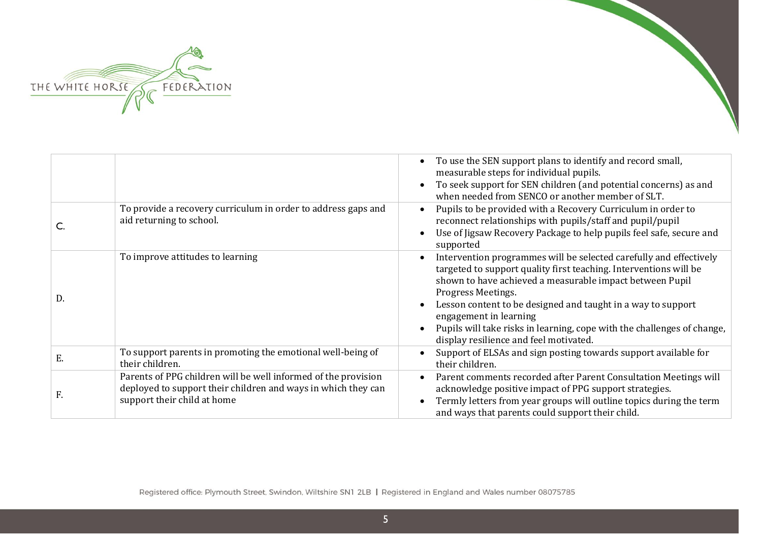

|    |                                                                                                                                                                | To use the SEN support plans to identify and record small,<br>measurable steps for individual pupils.<br>To seek support for SEN children (and potential concerns) as and<br>when needed from SENCO or another member of SLT.                                                                                                                                                                                                            |
|----|----------------------------------------------------------------------------------------------------------------------------------------------------------------|------------------------------------------------------------------------------------------------------------------------------------------------------------------------------------------------------------------------------------------------------------------------------------------------------------------------------------------------------------------------------------------------------------------------------------------|
|    | To provide a recovery curriculum in order to address gaps and<br>aid returning to school.                                                                      | Pupils to be provided with a Recovery Curriculum in order to<br>reconnect relationships with pupils/staff and pupil/pupil<br>Use of Jigsaw Recovery Package to help pupils feel safe, secure and<br>supported                                                                                                                                                                                                                            |
| D. | To improve attitudes to learning                                                                                                                               | Intervention programmes will be selected carefully and effectively<br>targeted to support quality first teaching. Interventions will be<br>shown to have achieved a measurable impact between Pupil<br>Progress Meetings.<br>Lesson content to be designed and taught in a way to support<br>engagement in learning<br>Pupils will take risks in learning, cope with the challenges of change,<br>display resilience and feel motivated. |
| E. | To support parents in promoting the emotional well-being of<br>their children.                                                                                 | Support of ELSAs and sign posting towards support available for<br>their children.                                                                                                                                                                                                                                                                                                                                                       |
| F. | Parents of PPG children will be well informed of the provision<br>deployed to support their children and ways in which they can<br>support their child at home | Parent comments recorded after Parent Consultation Meetings will<br>acknowledge positive impact of PPG support strategies.<br>Termly letters from year groups will outline topics during the term<br>and ways that parents could support their child.                                                                                                                                                                                    |



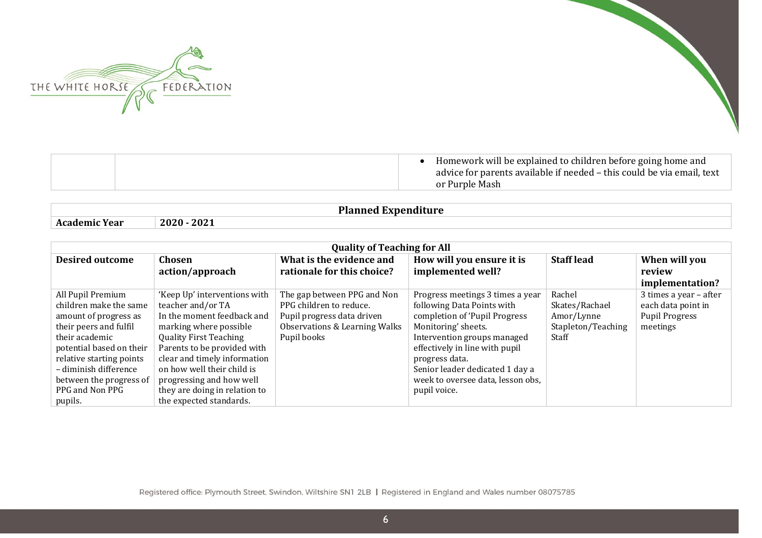



| Homework will be explained to children before going home and<br>advice for parents available if needed – this could be via email, text<br>or Purple Mash |
|----------------------------------------------------------------------------------------------------------------------------------------------------------|
|                                                                                                                                                          |

**Planned Expenditure**

**Academic Year 2020 - 2021**

| <b>Quality of Teaching for All</b> |                               |                               |                                   |                    |                        |  |
|------------------------------------|-------------------------------|-------------------------------|-----------------------------------|--------------------|------------------------|--|
| <b>Desired outcome</b>             | Chosen                        | What is the evidence and      | How will you ensure it is         | <b>Staff lead</b>  | When will you          |  |
|                                    | action/approach               | rationale for this choice?    | implemented well?                 |                    | review                 |  |
|                                    |                               |                               |                                   |                    | implementation?        |  |
| All Pupil Premium                  | 'Keep Up' interventions with  | The gap between PPG and Non   | Progress meetings 3 times a year  | Rachel             | 3 times a year - after |  |
| children make the same             | teacher and/or TA             | PPG children to reduce.       | following Data Points with        | Skates/Rachael     | each data point in     |  |
| amount of progress as              | In the moment feedback and    | Pupil progress data driven    | completion of 'Pupil Progress     | Amor/Lynne         | <b>Pupil Progress</b>  |  |
| their peers and fulfil             | marking where possible        | Observations & Learning Walks | Monitoring' sheets.               | Stapleton/Teaching | meetings               |  |
| their academic                     | <b>Quality First Teaching</b> | Pupil books                   | Intervention groups managed       | Staff              |                        |  |
| potential based on their           | Parents to be provided with   |                               | effectively in line with pupil    |                    |                        |  |
| relative starting points           | clear and timely information  |                               | progress data.                    |                    |                        |  |
| - diminish difference              | on how well their child is    |                               | Senior leader dedicated 1 day a   |                    |                        |  |
| between the progress of            | progressing and how well      |                               | week to oversee data, lesson obs, |                    |                        |  |
| PPG and Non PPG                    | they are doing in relation to |                               | pupil voice.                      |                    |                        |  |
| pupils.                            | the expected standards.       |                               |                                   |                    |                        |  |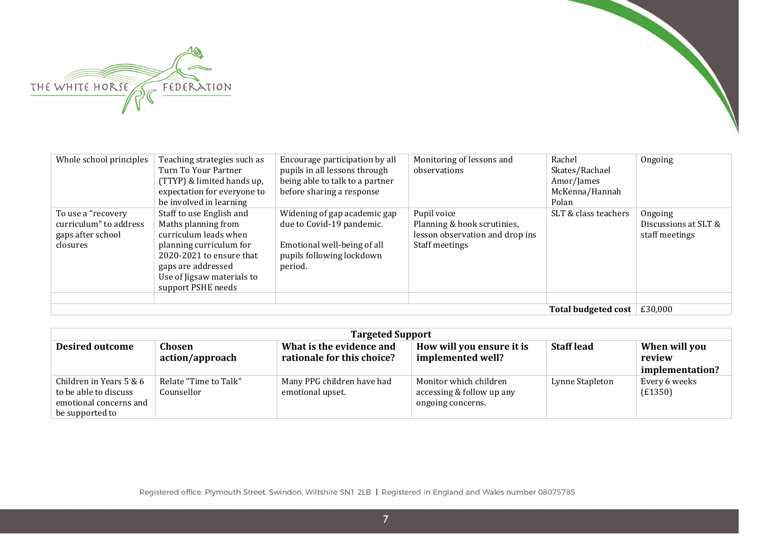

| Whole school principles                                                       | Teaching strategies such as<br>Turn To Your Partner<br>(TTYP) & limited hands up,<br>expectation for everyone to<br>be involved in learning                                                               | Encourage participation by all<br>pupils in all lessons through<br>being able to talk to a partner<br>before sharing a response  | Monitoring of lessons and<br>observations                                                       | Rachel<br>Skates/Rachael<br>Amor/James<br>McKenna/Hannah<br>Polan | Ongoing                                           |
|-------------------------------------------------------------------------------|-----------------------------------------------------------------------------------------------------------------------------------------------------------------------------------------------------------|----------------------------------------------------------------------------------------------------------------------------------|-------------------------------------------------------------------------------------------------|-------------------------------------------------------------------|---------------------------------------------------|
| To use a "recovery<br>curriculum" to address<br>gaps after school<br>closures | Staff to use English and<br>Maths planning from<br>curriculum leads when<br>planning curriculum for<br>2020-2021 to ensure that<br>gaps are addressed<br>Use of Jigsaw materials to<br>support PSHE needs | Widening of gap academic gap<br>due to Covid-19 pandemic.<br>Emotional well-being of all<br>pupils following lockdown<br>period. | Pupil voice<br>Planning & book scrutinies,<br>lesson observation and drop ins<br>Staff meetings | SLT & class teachers                                              | Ongoing<br>Discussions at SLT &<br>staff meetings |
| <b>Total budgeted cost</b>                                                    |                                                                                                                                                                                                           |                                                                                                                                  |                                                                                                 |                                                                   |                                                   |

| <b>Targeted Support</b>                                                                       |                                     |                                                        |                                                                          |                   |                                            |  |
|-----------------------------------------------------------------------------------------------|-------------------------------------|--------------------------------------------------------|--------------------------------------------------------------------------|-------------------|--------------------------------------------|--|
| <b>Desired outcome</b>                                                                        | Chosen<br>action/approach           | What is the evidence and<br>rationale for this choice? | How will you ensure it is<br>implemented well?                           | <b>Staff lead</b> | When will you<br>review<br>implementation? |  |
| Children in Years 5 & 6<br>to be able to discuss<br>emotional concerns and<br>be supported to | Relate "Time to Talk"<br>Counsellor | Many PPG children have had<br>emotional upset.         | Monitor which children<br>accessing & follow up any<br>ongoing concerns. | Lynne Stapleton   | Every 6 weeks<br>(E1350)                   |  |

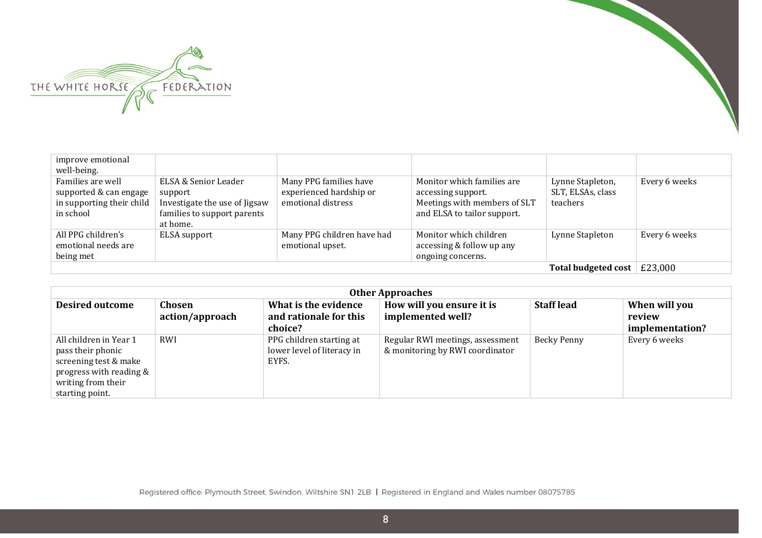



| improve emotional<br>well-being.                                                      |                                                                                                             |                                                                         |                                                                                                                 |                                                   |               |
|---------------------------------------------------------------------------------------|-------------------------------------------------------------------------------------------------------------|-------------------------------------------------------------------------|-----------------------------------------------------------------------------------------------------------------|---------------------------------------------------|---------------|
| Families are well<br>supported & can engage<br>in supporting their child<br>in school | ELSA & Senior Leader<br>support<br>Investigate the use of Jigsaw<br>families to support parents<br>at home. | Many PPG families have<br>experienced hardship or<br>emotional distress | Monitor which families are<br>accessing support.<br>Meetings with members of SLT<br>and ELSA to tailor support. | Lynne Stapleton,<br>SLT, ELSAs, class<br>teachers | Every 6 weeks |
| All PPG children's<br>emotional needs are<br>being met                                | ELSA support                                                                                                | Many PPG children have had<br>emotional upset.                          | Monitor which children<br>accessing & follow up any<br>ongoing concerns.                                        | Lynne Stapleton                                   | Every 6 weeks |
|                                                                                       |                                                                                                             |                                                                         |                                                                                                                 | Total budgeted cost                               | £23,000       |

| <b>Other Approaches</b>                                                                                                                  |                           |                                                                 |                                                                     |                   |                                            |  |
|------------------------------------------------------------------------------------------------------------------------------------------|---------------------------|-----------------------------------------------------------------|---------------------------------------------------------------------|-------------------|--------------------------------------------|--|
| <b>Desired outcome</b>                                                                                                                   | Chosen<br>action/approach | What is the evidence<br>and rationale for this<br>choice?       | How will you ensure it is<br>implemented well?                      | <b>Staff lead</b> | When will you<br>review<br>implementation? |  |
| All children in Year 1<br>pass their phonic<br>screening test & make<br>progress with reading &<br>writing from their<br>starting point. | RWI                       | PPG children starting at<br>lower level of literacy in<br>EYFS. | Regular RWI meetings, assessment<br>& monitoring by RWI coordinator | Becky Penny       | Every 6 weeks                              |  |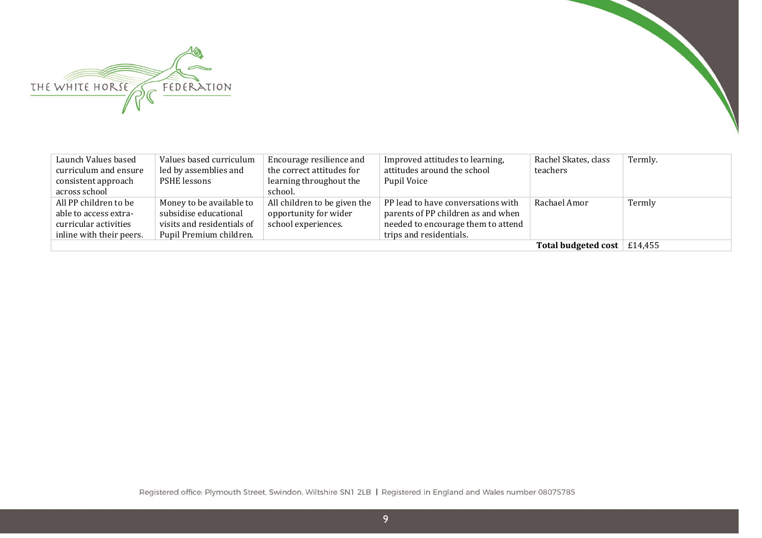



| Launch Values based<br>curriculum and ensure | Values based curriculum<br>led by assemblies and | Encourage resilience and<br>the correct attitudes for | Improved attitudes to learning,<br>attitudes around the school | Rachel Skates, class<br>teachers   | Termly. |
|----------------------------------------------|--------------------------------------------------|-------------------------------------------------------|----------------------------------------------------------------|------------------------------------|---------|
| consistent approach                          | PSHE lessons                                     | learning throughout the                               | Pupil Voice                                                    |                                    |         |
| across school                                |                                                  | school.                                               |                                                                |                                    |         |
| All PP children to be                        | Money to be available to                         | All children to be given the                          | PP lead to have conversations with                             | Rachael Amor                       | Termly  |
| able to access extra-                        | subsidise educational                            | opportunity for wider                                 | parents of PP children as and when                             |                                    |         |
| curricular activities                        | visits and residentials of                       | school experiences.                                   | needed to encourage them to attend                             |                                    |         |
| inline with their peers.                     | Pupil Premium children.                          |                                                       | trips and residentials.                                        |                                    |         |
|                                              |                                                  |                                                       |                                                                | Total budgeted cost $\mid$ £14,455 |         |

Registered office: Plymouth Street, Swindon, Wiltshire SN1 2LB | Registered in England and Wales number 08075785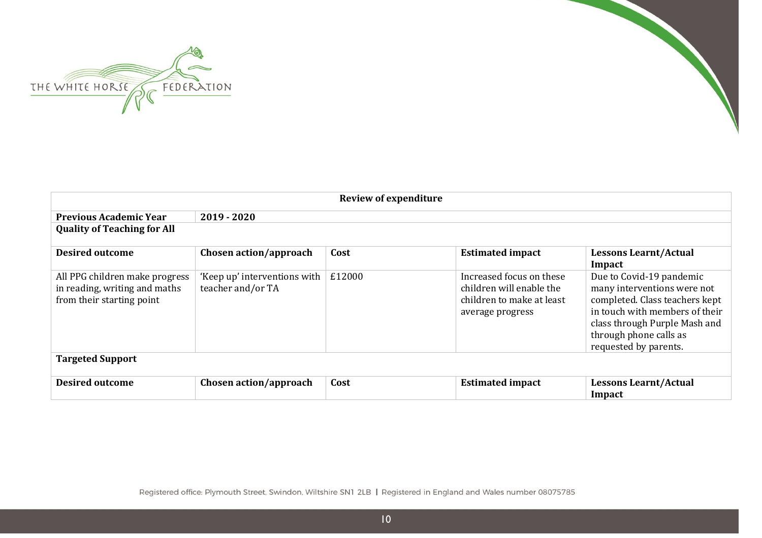



| <b>Review of expenditure</b>                                                                 |                                                   |        |                                                                                                       |                                                                                                                                                                                                                 |
|----------------------------------------------------------------------------------------------|---------------------------------------------------|--------|-------------------------------------------------------------------------------------------------------|-----------------------------------------------------------------------------------------------------------------------------------------------------------------------------------------------------------------|
| <b>Previous Academic Year</b>                                                                | $2019 - 2020$                                     |        |                                                                                                       |                                                                                                                                                                                                                 |
| <b>Quality of Teaching for All</b>                                                           |                                                   |        |                                                                                                       |                                                                                                                                                                                                                 |
| <b>Desired outcome</b>                                                                       | Chosen action/approach                            | Cost   | <b>Estimated impact</b>                                                                               | <b>Lessons Learnt/Actual</b><br>Impact                                                                                                                                                                          |
| All PPG children make progress<br>in reading, writing and maths<br>from their starting point | 'Keep up' interventions with<br>teacher and/or TA | £12000 | Increased focus on these<br>children will enable the<br>children to make at least<br>average progress | Due to Covid-19 pandemic<br>many interventions were not<br>completed. Class teachers kept<br>in touch with members of their<br>class through Purple Mash and<br>through phone calls as<br>requested by parents. |
| <b>Targeted Support</b>                                                                      |                                                   |        |                                                                                                       |                                                                                                                                                                                                                 |
| <b>Desired outcome</b>                                                                       | Chosen action/approach                            | Cost   | <b>Estimated impact</b>                                                                               | <b>Lessons Learnt/Actual</b><br>Impact                                                                                                                                                                          |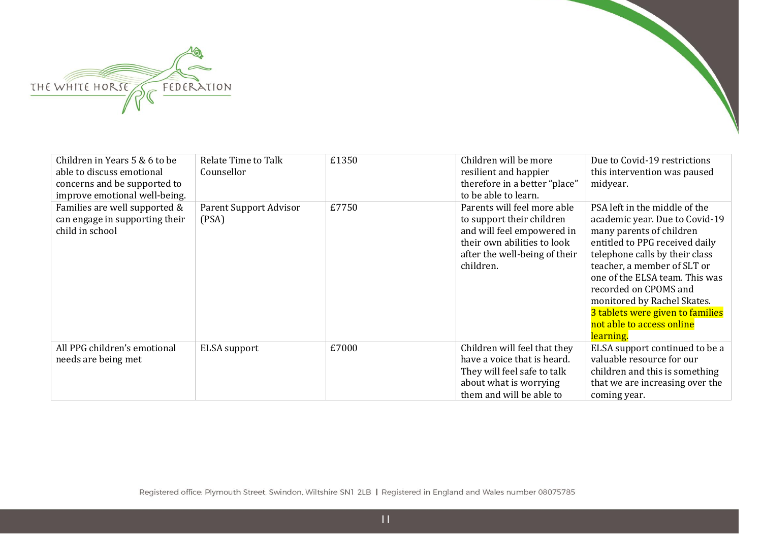



| Children in Years 5 & 6 to be<br>able to discuss emotional<br>concerns and be supported to<br>improve emotional well-being. | <b>Relate Time to Talk</b><br>Counsellor | £1350 | Children will be more<br>resilient and happier<br>therefore in a better "place"<br>to be able to learn.                                                             | Due to Covid-19 restrictions<br>this intervention was paused<br>midyear.                                                                                                                                                                                                                                                                                               |
|-----------------------------------------------------------------------------------------------------------------------------|------------------------------------------|-------|---------------------------------------------------------------------------------------------------------------------------------------------------------------------|------------------------------------------------------------------------------------------------------------------------------------------------------------------------------------------------------------------------------------------------------------------------------------------------------------------------------------------------------------------------|
| Families are well supported &<br>can engage in supporting their<br>child in school                                          | Parent Support Advisor<br>(PSA)          | £7750 | Parents will feel more able<br>to support their children<br>and will feel empowered in<br>their own abilities to look<br>after the well-being of their<br>children. | PSA left in the middle of the<br>academic year. Due to Covid-19<br>many parents of children<br>entitled to PPG received daily<br>telephone calls by their class<br>teacher, a member of SLT or<br>one of the ELSA team. This was<br>recorded on CPOMS and<br>monitored by Rachel Skates.<br>3 tablets were given to families<br>not able to access online<br>learning. |
| All PPG children's emotional<br>needs are being met                                                                         | ELSA support                             | £7000 | Children will feel that they<br>have a voice that is heard.<br>They will feel safe to talk<br>about what is worrying<br>them and will be able to                    | ELSA support continued to be a<br>valuable resource for our<br>children and this is something<br>that we are increasing over the<br>coming year.                                                                                                                                                                                                                       |

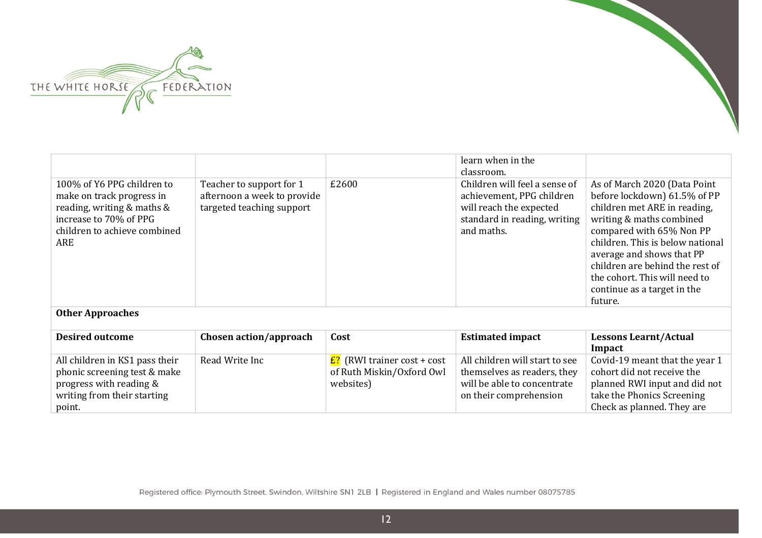

| 100% of Y6 PPG children to<br>make on track progress in<br>reading, writing & maths &<br>increase to 70% of PPG<br>children to achieve combined<br>ARE | Teacher to support for 1<br>afternoon a week to provide<br>targeted teaching support | £2600                             | learn when in the<br>classroom.<br>Children will feel a sense of<br>achievement, PPG children<br>will reach the expected<br>standard in reading, writing<br>and maths. | As of March 2020 (Data Point<br>before lockdown) 61.5% of PP<br>children met ARE in reading,<br>writing & maths combined<br>compared with 65% Non PP<br>children. This is below national<br>average and shows that PP<br>children are behind the rest of |
|--------------------------------------------------------------------------------------------------------------------------------------------------------|--------------------------------------------------------------------------------------|-----------------------------------|------------------------------------------------------------------------------------------------------------------------------------------------------------------------|----------------------------------------------------------------------------------------------------------------------------------------------------------------------------------------------------------------------------------------------------------|
|                                                                                                                                                        |                                                                                      |                                   |                                                                                                                                                                        | the cohort. This will need to<br>continue as a target in the<br>future.                                                                                                                                                                                  |
| <b>Other Approaches</b>                                                                                                                                |                                                                                      |                                   |                                                                                                                                                                        |                                                                                                                                                                                                                                                          |
| <b>Desired outcome</b>                                                                                                                                 | Chosen action/approach                                                               | Cost                              | <b>Estimated impact</b>                                                                                                                                                | <b>Lessons Learnt/Actual</b><br>Impact                                                                                                                                                                                                                   |
| All ohildron in IC1 nogo thoir                                                                                                                         | $D$ and $M_{\text{min}}$ $Ina$                                                       | $\Gamma$ (DMI troin on goot Loopt | All objidnon will atout to goo                                                                                                                                         | $C$ arid $10$ moont that the vear 1                                                                                                                                                                                                                      |

|                                |                |                                          |                                | Impact                         |
|--------------------------------|----------------|------------------------------------------|--------------------------------|--------------------------------|
| All children in KS1 pass their | Read Write Inc | <mark>£?</mark> (RWI trainer cost + cost | All children will start to see | Covid-19 meant that the year 1 |
| phonic screening test & make   |                | of Ruth Miskin/Oxford Owl                | themselves as readers, they    | cohort did not receive the     |
| progress with reading &        |                | websites)                                | will be able to concentrate    | planned RWI input and did not  |
| writing from their starting    |                |                                          | on their comprehension         | take the Phonics Screening     |
| point.                         |                |                                          |                                | Check as planned. They are     |